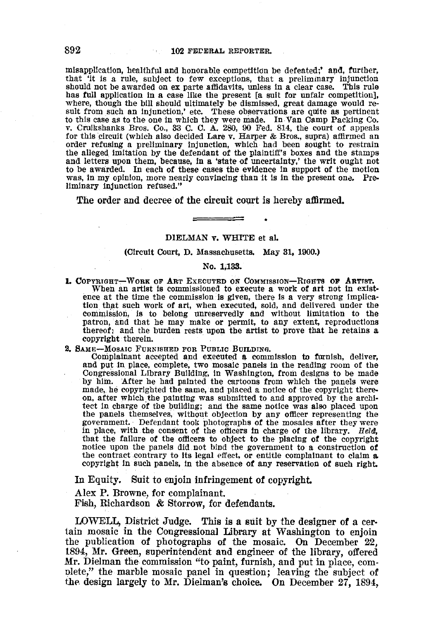misapplication, healthful and honorable competition be defeated;' and, further, that 'it is a rule, subject to few exceptions, that a preliminary injunction should not be awarded on ex parte affidavits, unless in a clear case. This rule has full application in a case like the present [a suit for unfair competition], where, though the bill should ultimately be dismissed, great damage would result from such an injunction,' etc. These observations are quite as pertinent to this case as to the one in which they were made. In Van Camp Packing Co. v. Cruikshanks Bros. Co., 33 C. C. A. 280, 90 Fed. 814, the court of appeals for this circuit (which also decided Lare v. Harper & Bros., supra) a for this circuit (which also decided Lare v. Harper & Bros., supra) affirmed an order refusing a preliminary injunction, which had been sought to restrain the alleged imitation by the defendant of the plaintiff's boxes and the stamps and letters upon them, because, In a 'state of uncertainty,' the writ ought not to be awarded. In each of these cases the evidence in support of the motion was, in my opinion, more nearly convincing than it is in the present ona. Preliminary injunction refused."

The order and decree of the circuit court is hereby affirmed.

#### DIELMAN v. WHITE et aL

### (Circuit Court, D. Massachusetts. May 31. 1900.)

#### No. 1;133.

- **1. COPYRIGHT-WORK OF ART EXECUTED ON COMMISSION-RIGHTS OF ARTIST.** When an artist is commissioned to execute a work of art not in existence at the time the commission is given, there is a very strong implication that such work of art, when executed, sold, and delivered under the commission, Is to belong unreservedly and without limitation to the patron, and that he may make or permit, to any extent, reproductions thereof; and the burden rests upon the artist to prove that he retains a copyright therein.
- 2. SAME-MoSAIC FUnNJSHED FOR PUBLIC BUILDING.

Complainant accepted and executed a commission to furnish, deliver, and put in place, complete, two mosaic panels in the reading room of the Congressional Library Building, in WaShington, from designs to be made by him. After he had painted the cartoons from which the panels were made, he copyrighted the same, and placed a notice of the copyright thereon, after which the painting was submitted to and approved by the architect in charge of the building; and the same notice was also placed upon the panels themselves, without objection by any officer representing the government. Defendant took photographs of the mosaics after they were in place, with the consent of the officers in charge of the library. Held, that the fallure of the officers to object to the placing of the copyright notice upon the panels did not bind the government to a construction of the contract contrary to its legal effect, or entitle complainant to claim  $a$ . copyright in such panels, In the absence of any reservation of such right.

In Equity. Suit to enjoin infringement of copyright

Alex P. Browne, for complainant.

Fish, Richardson & Storrow, for defendants.

LOWELL, District Judge. This is a suit by the designer of a certain mosaic in the Congressional Library at Washington to enjoin the publication of photographs of the mosaic. On December 22, 1894, Mr. Green, superintendent and engineer of the library, offered Mr. Dielman the commission "to paint, furnish, and put in place, com· plete," the marble mosaic panel in question; leaving the subject of the design largely to Mr. Dielman's choice. On December 27, 1894,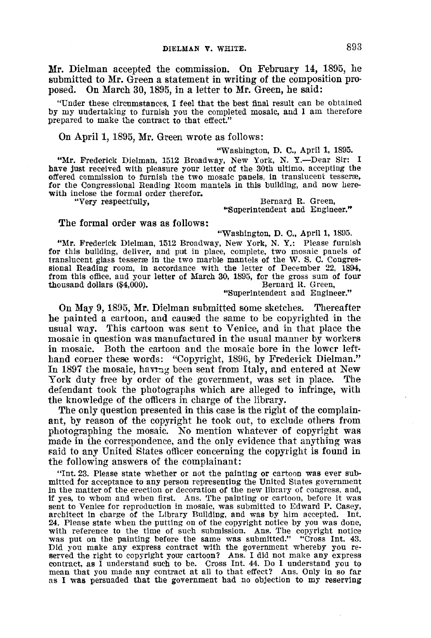Mr. Dielman accepted the commission. On February 14, 1895, he submitted to Mr. Green a statement in writing of the composition proposed. On March 30,1895, in a letter to Mr. Green, he said:

"Under these circumstances, I feel that the best final result can be obtained by my undertaking to furnish you the completed mosaic, and I am therefore prepared to make the contract to that effect."

# On April 1, 1895, Mr. Green wrote as follows:

# "Washington, D. C., April I, 1895.

"Mr. Frederick Dielman, 1512 Broadway, New York, N. Y.-Dear Sir: I have just received with pleasure your letter of the 30th ultimo, accepting the offered commission to furnish the two mosaic panels, in translucent tesserre, for the Congressional Reading Room mantels in this building, and now herewith inclose the formal order therefor.

"Very respectfully,

## Bernard R. Green, "Superintendent and Engineer."

"Washington, D. C., April 1, 1895.

## The formal order was as follows:

"Mr. Frederick Dielman, 1512 Broadway, New York, N. Y.: Please furnish for this building, deliver, and put in place, complete, two mosaic panels of translucent glass tesseræ in the two marble mantels of the W. S. C. Congressional Reading room, in accordance with the letter of December 22, 1894, from this office, and your letter of March 30, 1895, for the gross sum of four<br>thousand dollars (\$4.000). Bernard R. Green, thousand dollars  $(\$4,000)$ .

"Superintendent and Engineer."

On May 9, 1895, Mr. Dielman submitted some sketches. Thereafter he painted a cartoon, and caused the same to be copyrighted in the usual way. This cartoon was sent to Venice, and in that place the mosaic in question was manufactured in the usual manner by workers in mosaic. Both the cartoon and the mosaic bore in the lower lefthand corner these words: "Copyright, 1896, by Frederick Dielman." In 1897 the mosaic, having been sent from Italy, and entered at New York duty free by order of the government, was set in place. The defendant took the photographs which are alleged to infringe, with the knowledge of the ofticers in charge of the library.

The only question presented in this case is the right of the complainant, by reason of the copyright he took out, to exclude others from photographing the mosaic. No mention whatever of copyright was made in the correspondence. and the only evidence that anything was said to any United States officer concerning the copyright is found in the following answers of the complainant:

"Int. 23. Please state whether or not the painting or cartoon was ever submitted for acceptance to any person representing the United States government in the matter of the erection or decoration of the new library of congress, and, if yes, to whom and when first. Ans. The painting or cartoon, before it was sent to Venice for reproduction in mosaic, was submitted to Edward P. Casey, architect in charge of the Library Building, and was by him accepted. Int. 24, Please state when the putting on of the copyright notice by you was done, with reference to the time of such submission. Ans. The copyright notice was put on the painting before the same was submitted," "Cross Int. 43, Did you make any express contract with the government whereby you re-<br>served the right to copyright your cartoon? Ans. I did not make any express<br>contract, as I understand such to be. Cross Int. 44. Do I understand you to mean that you made any contract at all to that effect? Ans. Only in so far as I was persuaded that the government had no objection to my reserving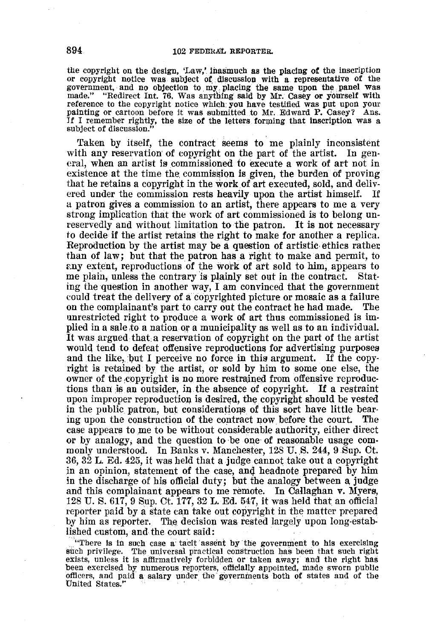the copyright on the design, 'Law,'. inasmuch as the placing *ot* the inscription or copyright notice was subject of, discussloll with a representative of the government, and no objection to my placing the same upon the panel was made." "Redirect Int. 76. Was anything said by Mr. Casey or yourself with reference to the copyright notice which: you have testified was put upon your painting or cartoon before it was submitted to Mr. Edward P. Casey? Ans. If I remember rightly, the size of the letters forming that inscription was a subject of discussion."

Taken by itself, the contract seems to me plainly inconsistent with any reservation of copyright on the part of the artist. In general, when an artist is commissioned to execute a work of art not in existence at the time the commission is given, the burden of proving that he retains a copyright in the work of art executed, sold, and delivered under the commission rests heavily upon the artist himself. If a patron gives a commission to an artist, there appears to me a very strong implication that the work of art commissioned is to belong unreservedly and without limitation to the patron. It is not necessary to decide if the artist retains the right to make for another a replica. Reproduction by the artist may be a question of artistic ethics rather than of law; but that the patron has a right to make and permit, to f.ny extent, reproductions of the work of art sold to him, appears to me plain, unless the contrary is plainly set out in the contract. Stating the question in another way, I am: convinced that the government could treat the delivery of a copyrighted picture or mosaic as a failure on the complainant's part to carry out the contract he had made. The unrestricted right to produce a work of art thus commissioned is im· plied in a sale to a nation or a municipality as well as to an individual. It was argued that a reservation of copyright on the part of the artist would tend to defeat offensive reproductions for advertising purposes and the like, but I perceive no force in this argument. If the copyright is retained by the artist, or sold by him to some one else, the owner of the copyright is no more restrained from offensive reproductions than is an outsider, in the absence of copyright. If a restraint upon improper reproduction is desired, the copyright should be vested in the public patron, but consideratioqs of this sort have little bearing upon the construction of the contract now before the court. The case appears to me to be without considerable authority, either direct or by analogy, and the question to be one' of reasonable usage com· monly understood. In Banks v. Manchester, 128 U.S. 244, 9 Sup. Ct. 36, 32 L. Ed. 425, it was held that a judge cannot take out a copyright in an opinion, statement of the case, and headnote prepared by him in the discharge of his official duty; hut the analogy between a judge and this complainant appears to me remote. In Callaghan v. Myers, 128 U. S. 617, 9 Sup. Ct. 177,32 L. Ed. 547, it was held that an official reporter paid by a state can take out copyright in the matter prepared by him as reporter. The decision was rested largely upon long-established custom, and the court said:

.. "There is in such case a tacit assent by the government to his exercising such privilege. The universal practical construction has been that such right exists, unless it is affirmatively forbidden or taken away; and the right has been exercised by numerous reporters, officially appointed, made sworn public officers, and paid a salary under the governments both of states and of the United States." officers, and paid a salary under the governments both of states and of the